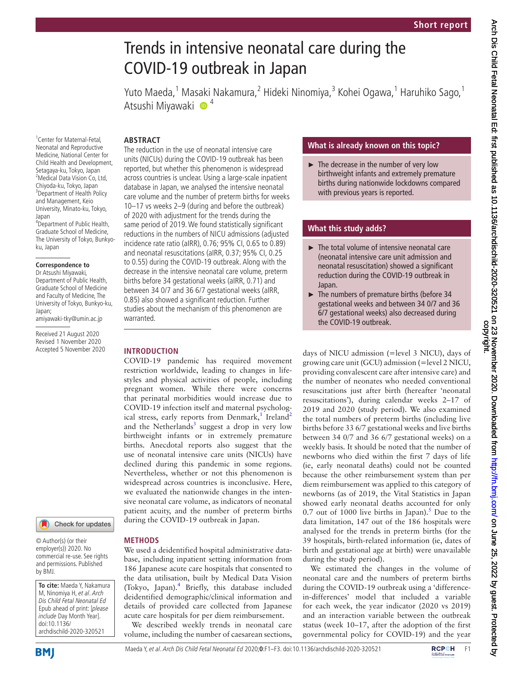# Trends in intensive neonatal care during the COVID-19 outbreak in Japan

Yuto Maeda,<sup>1</sup> Masaki Nakamura,<sup>2</sup> Hideki Ninomiya,<sup>3</sup> Kohei Ogawa,<sup>1</sup> Haruhiko Sago,<sup>1</sup> Atsushi Miyawaki <sup>64</sup>

# **ABSTRACT**

1 Center for Maternal-Fetal, Neonatal and Reproductive Medicine, National Center for Child Health and Development, Setagaya-ku, Tokyo, Japan <sup>2</sup> <sup>2</sup>Medical Data Vision Co, Ltd, Chiyoda-ku, Tokyo, Japan <sup>3</sup> <sup>3</sup> Department of Health Policy and Management, Keio University, Minato-ku, Tokyo, Japan

4 Department of Public Health, Graduate School of Medicine, The University of Tokyo, Bunkyoku, Japan

#### **Correspondence to**

Dr Atsushi Miyawaki, Department of Public Health, Graduate School of Medicine and Faculty of Medicine, The University of Tokyo, Bunkyo-ku, Japan; amiyawaki-tky@umin.ac.jp

Received 21 August 2020 Revised 1 November 2020 Accepted 5 November 2020

# Check for updates

© Author(s) (or their employer(s)) 2020. No commercial re-use. See rights and permissions. Published by BMJ.

**To cite:** Maeda Y, Nakamura M, Ninomiya H, et al. Arch Dis Child Fetal Neonatal Ed Epub ahead of print: [please include Day Month Year]. doi:10.1136/ archdischild-2020-320521

**BMI** 

The reduction in the use of neonatal intensive care units (NICUs) during the COVID-19 outbreak has been reported, but whether this phenomenon is widespread across countries is unclear. Using a large-scale inpatient database in Japan, we analysed the intensive neonatal care volume and the number of preterm births for weeks 10–17 vs weeks 2–9 (during and before the outbreak) of 2020 with adjustment for the trends during the same period of 2019. We found statistically significant reductions in the numbers of NICU admissions (adjusted incidence rate ratio (aIRR), 0.76; 95% CI, 0.65 to 0.89) and neonatal resuscitations (aIRR, 0.37; 95% CI, 0.25 to 0.55) during the COVID-19 outbreak. Along with the decrease in the intensive neonatal care volume, preterm births before 34 gestational weeks (aIRR, 0.71) and between 34 0/7 and 36 6/7 gestational weeks (aIRR, 0.85) also showed a significant reduction. Further studies about the mechanism of this phenomenon are warranted.

# **INTRODUCTION**

COVID-19 pandemic has required movement restriction worldwide, leading to changes in lifestyles and physical activities of people, including pregnant women. While there were concerns that perinatal morbidities would increase due to COVID-19 infection itself and maternal psycholog-ical stress, early reports from Denmark,<sup>[1](#page-2-0)</sup> Ireland<sup>[2](#page-2-1)</sup> and the Netherlands<sup>[3](#page-2-2)</sup> suggest a drop in very low birthweight infants or in extremely premature births. Anecdotal reports also suggest that the use of neonatal intensive care units (NICUs) have declined during this pandemic in some regions. Nevertheless, whether or not this phenomenon is widespread across countries is inconclusive. Here, we evaluated the nationwide changes in the intensive neonatal care volume, as indicators of neonatal patient acuity, and the number of preterm births during the COVID-19 outbreak in Japan.

# **METHODS**

We used a deidentified hospital administrative database, including inpatient setting information from 186 Japanese acute care hospitals that consented to the data utilisation, built by Medical Data Vision (Tokyo, Japan).[4](#page-2-3) Briefly, this database included deidentified demographic/clinical information and details of provided care collected from Japanese acute care hospitals for per diem reimbursement.

We described weekly trends in neonatal care volume, including the number of caesarean sections,

# **What is already known on this topic?**

► The decrease in the number of very low birthweight infants and extremely premature births during nationwide lockdowns compared with previous years is reported.

# **What this study adds?**

- ► The total volume of intensive neonatal care (neonatal intensive care unit admission and neonatal resuscitation) showed a significant reduction during the COVID-19 outbreak in Japan.
- ► The numbers of premature births (before 34 gestational weeks and between 34 0/7 and 36 6/7 gestational weeks) also decreased during the COVID-19 outbreak.

days of NICU admission (=level 3 NICU), days of growing care unit (GCU) admission (=level 2 NICU, providing convalescent care after intensive care) and the number of neonates who needed conventional resuscitations just after birth (hereafter 'neonatal resuscitations'), during calendar weeks 2–17 of 2019 and 2020 (study period). We also examined the total numbers of preterm births (including live births before 33 6/7 gestational weeks and live births between 34 0/7 and 36 6/7 gestational weeks) on a weekly basis. It should be noted that the number of newborns who died within the first 7 days of life (ie, early neonatal deaths) could not be counted because the other reimbursement system than per diem reimbursement was applied to this category of newborns (as of 2019, the Vital Statistics in Japan showed early neonatal deaths accounted for only 0.7 out of 1000 live births in Japan).<sup>[5](#page-2-4)</sup> Due to the data limitation, 147 out of the 186 hospitals were analysed for the trends in preterm births (for the 39 hospitals, birth-related information (ie, dates of birth and gestational age at birth) were unavailable during the study period).

We estimated the changes in the volume of neonatal care and the numbers of preterm births during the COVID-19 outbreak using a 'differencein-differences' model that included a variable for each week, the year indicator (2020 vs 2019) and an interaction variable between the outbreak status (week 10–17, after the adoption of the first governmental policy for COVID-19) and the year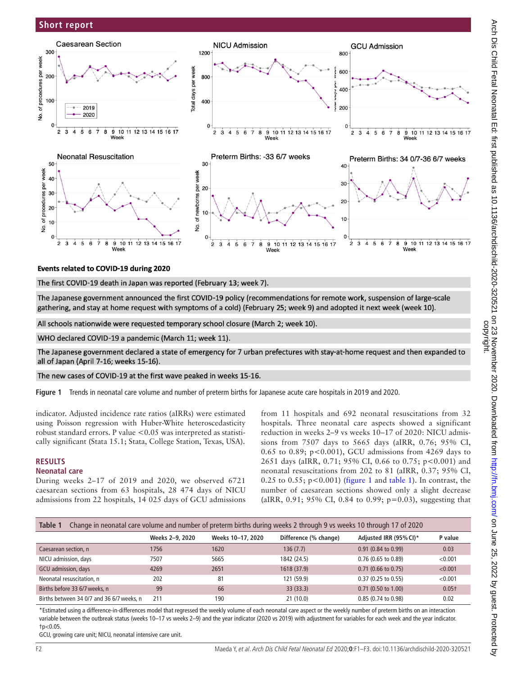

# Events related to COVID-19 during 2020

The first COVID-19 death in Japan was reported (February 13; week 7).

The Japanese government announced the first COVID-19 policy (recommendations for remote work, suspension of large-scale gathering, and stay at home request with symptoms of a cold) (February 25; week 9) and adopted it next week (week 10).

All schools nationwide were requested temporary school closure (March 2; week 10).

WHO declared COVID-19 a pandemic (March 11; week 11).

The Japanese government declared a state of emergency for 7 urban prefectures with stay-at-home request and then expanded to all of Japan (April 7-16; weeks 15-16).

#### <span id="page-1-0"></span>The new cases of COVID-19 at the first wave peaked in weeks 15-16.

**Figure 1** Trends in neonatal care volume and number of preterm births for Japanese acute care hospitals in 2019 and 2020.

indicator. Adjusted incidence rate ratios (aIRRs) were estimated using Poisson regression with Huber-White heteroscedasticity robust standard errors. P value <0.05 was interpreted as statistically significant (Stata 15.1; Stata, College Station, Texas, USA).

#### **RESULTS**

### **Neonatal care**

During weeks 2–17 of 2019 and 2020, we observed 6721 caesarean sections from 63 hospitals, 28 474 days of NICU admissions from 22 hospitals, 14 025 days of GCU admissions

from 11 hospitals and 692 neonatal resuscitations from 32 hospitals. Three neonatal care aspects showed a significant reduction in weeks 2–9 vs weeks 10–17 of 2020: NICU admissions from 7507 days to 5665 days (aIRR, 0.76; 95% CI, 0.65 to 0.89; p<0.001), GCU admissions from 4269 days to 2651 days (aIRR, 0.71; 95% CI, 0.66 to 0.75; p<0.001) and neonatal resuscitations from 202 to 81 (aIRR, 0.37; 95% CI,  $0.25$  to  $0.55$ ;  $p < 0.001$ ) ([figure](#page-1-0) 1 and [table](#page-1-1) 1). In contrast, the number of caesarean sections showed only a slight decrease (aIRR, 0.91; 95% CI, 0.84 to 0.99; p=0.03), suggesting that

<span id="page-1-1"></span>

| Change in neonatal care volume and number of preterm births during weeks 2 through 9 vs weeks 10 through 17 of 2020<br>Table 1 |                 |                   |                       |                               |         |
|--------------------------------------------------------------------------------------------------------------------------------|-----------------|-------------------|-----------------------|-------------------------------|---------|
|                                                                                                                                | Weeks 2-9, 2020 | Weeks 10-17, 2020 | Difference (% change) | Adjusted IRR (95% CI)*        | P value |
| Caesarean section, n                                                                                                           | 1756            | 1620              | 136(7.7)              | $0.91$ (0.84 to 0.99)         | 0.03    |
| NICU admission, days                                                                                                           | 7507            | 5665              | 1842 (24.5)           | $0.76$ (0.65 to 0.89)         | < 0.001 |
| GCU admission, days                                                                                                            | 4269            | 2651              | 1618 (37.9)           | $0.71$ (0.66 to 0.75)         | < 0.001 |
| Neonatal resuscitation, n                                                                                                      | 202             | 81                | 121 (59.9)            | $0.37$ (0.25 to 0.55)         | < 0.001 |
| Births before 33 6/7 weeks, n                                                                                                  | 99              | 66                | 33(33.3)              | 0.71 (0.50 to 1.00)           | $0.05+$ |
| Births between 34 0/7 and 36 6/7 weeks, n                                                                                      | 211             | 190               | 21(10.0)              | $0.85(0.74 \text{ to } 0.98)$ | 0.02    |

\*Estimated using a difference-in-differences model that regressed the weekly volume of each neonatal care aspect or the weekly number of preterm births on an interaction variable between the outbreak status (weeks 10–17 vs weeks 2–9) and the year indicator (2020 vs 2019) with adjustment for variables for each week and the year indicator. †p<0.05.

GCU, growing care unit; NICU, neonatal intensive care unit.

g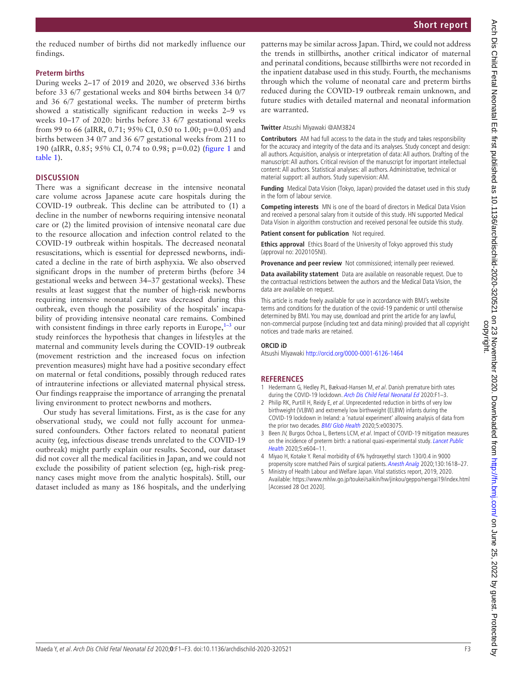the reduced number of births did not markedly influence our findings.

# **Preterm births**

During weeks 2–17 of 2019 and 2020, we observed 336 births before 33 6/7 gestational weeks and 804 births between 34 0/7 and 36 6/7 gestational weeks. The number of preterm births showed a statistically significant reduction in weeks 2–9 vs weeks 10–17 of 2020: births before 33 6/7 gestational weeks from 99 to 66 (aIRR, 0.71; 95% CI, 0.50 to 1.00; p=0.05) and births between 34 0/7 and 36 6/7 gestational weeks from 211 to 190 (aIRR, 0.85; 95% CI, 0.74 to 0.98; p=0.02) [\(figure](#page-1-0) 1 and [table](#page-1-1) 1).

# **DISCUSSION**

There was a significant decrease in the intensive neonatal care volume across Japanese acute care hospitals during the COVID-19 outbreak. This decline can be attributed to (1) a decline in the number of newborns requiring intensive neonatal care or (2) the limited provision of intensive neonatal care due to the resource allocation and infection control related to the COVID-19 outbreak within hospitals. The decreased neonatal resuscitations, which is essential for depressed newborns, indicated a decline in the rate of birth asphyxia. We also observed significant drops in the number of preterm births (before 34 gestational weeks and between 34–37 gestational weeks). These results at least suggest that the number of high-risk newborns requiring intensive neonatal care was decreased during this outbreak, even though the possibility of the hospitals' incapability of providing intensive neonatal care remains. Combined with consistent findings in three early reports in Europe, $1-3$  our study reinforces the hypothesis that changes in lifestyles at the maternal and community levels during the COVID-19 outbreak (movement restriction and the increased focus on infection prevention measures) might have had a positive secondary effect on maternal or fetal conditions, possibly through reduced rates of intrauterine infections or alleviated maternal physical stress. Our findings reappraise the importance of arranging the prenatal living environment to protect newborns and mothers.

Our study has several limitations. First, as is the case for any observational study, we could not fully account for unmeasured confounders. Other factors related to neonatal patient acuity (eg, infectious disease trends unrelated to the COVID-19 outbreak) might partly explain our results. Second, our dataset did not cover all the medical facilities in Japan, and we could not exclude the possibility of patient selection (eg, high-risk pregnancy cases might move from the analytic hospitals). Still, our dataset included as many as 186 hospitals, and the underlying

patterns may be similar across Japan. Third, we could not address the trends in stillbirths, another critical indicator of maternal and perinatal conditions, because stillbirths were not recorded in the inpatient database used in this study. Fourth, the mechanisms through which the volume of neonatal care and preterm births reduced during the COVID-19 outbreak remain unknown, and future studies with detailed maternal and neonatal information are warranted.

# **Twitter** Atsushi Miyawaki [@AM3824](https://twitter.com/AM3824)

**Contributors** AM had full access to the data in the study and takes responsibility for the accuracy and integrity of the data and its analyses. Study concept and design: all authors. Acquisition, analysis or interpretation of data: All authors. Drafting of the manuscript: All authors. Critical revision of the manuscript for important intellectual content: All authors. Statistical analyses: all authors. Administrative, technical or material support: all authors. Study supervision: AM.

**Funding** Medical Data Vision (Tokyo, Japan) provided the dataset used in this study in the form of labour service.

**Competing interests** MN is one of the board of directors in Medical Data Vision and received a personal salary from it outside of this study. HN supported Medical Data Vision in algorithm construction and received personal fee outside this study.

**Patient consent for publication** Not required.

**Ethics approval** Ethics Board of the University of Tokyo approved this study (approval no: 2020105NI).

**Provenance and peer review** Not commissioned; internally peer reviewed.

**Data availability statement** Data are available on reasonable request. Due to the contractual restrictions between the authors and the Medical Data Vision, the data are available on request.

This article is made freely available for use in accordance with BMJ's website terms and conditions for the duration of the covid-19 pandemic or until otherwise determined by BMJ. You may use, download and print the article for any lawful, non-commercial purpose (including text and data mining) provided that all copyright notices and trade marks are retained.

#### **ORCID iD**

Atsushi Miyawaki<http://orcid.org/0000-0001-6126-1464>

# **REFERENCES**

- <span id="page-2-0"></span>1 Hedermann G, Hedley PL, Bækvad-Hansen M, et al. Danish premature birth rates during the COVID-19 lockdown. [Arch Dis Child Fetal Neonatal Ed](http://dx.doi.org/10.1136/archdischild-2020-319990) 2020:F1-3.
- <span id="page-2-1"></span>2 Philip RK, Purtill H, Reidy E, et al. Unprecedented reduction in births of very low birthweight (VLBW) and extremely low birthweight (ELBW) infants during the COVID-19 lockdown in Ireland: a 'natural experiment' allowing analysis of data from the prior two decades. [BMJ Glob Health](http://dx.doi.org/10.1136/bmjgh-2020-003075) 2020;5:e003075.
- <span id="page-2-2"></span>3 Been JV, Burgos Ochoa L, Bertens LCM, et al. Impact of COVID-19 mitigation measures on the incidence of preterm birth: a national quasi-experimental study. Lancet Public [Health](http://dx.doi.org/10.1016/S2468-2667(20)30223-1) 2020;5:e604–11.
- <span id="page-2-3"></span>4 Miyao H, Kotake Y. Renal morbidity of 6% hydroxyethyl starch 130/0.4 in 9000 propensity score matched Pairs of surgical patients. [Anesth Analg](http://dx.doi.org/10.1213/ANE.0000000000004592) 2020;130:1618-27.
- <span id="page-2-4"></span>5 Ministry of Health Labour and Welfare Japan. Vital statistics report, 2019, 2020. Available: <https://www.mhlw.go.jp/toukei/saikin/hw/jinkou/geppo/nengai19/index.html> [Accessed 28 Oct 2020].